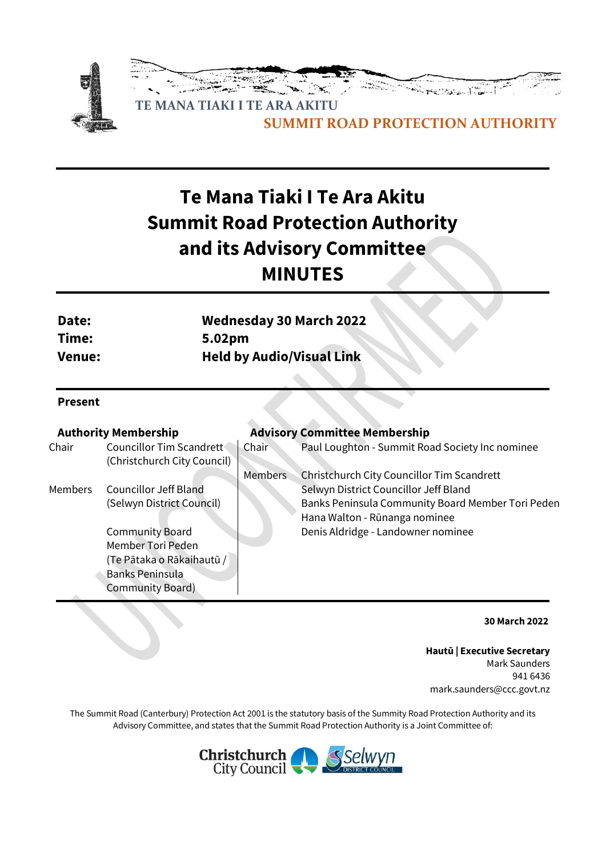

# **Te Mana Tiaki I Te Ara Akitu Summit Road Protection Authority and its Advisory Committee MINUTES**

| Date:  | <b>Wednesday 30 March 2022</b>   |
|--------|----------------------------------|
| Time:  | 5.02 <sub>pm</sub>               |
| Venue: | <b>Held by Audio/Visual Link</b> |

#### **Present**

|                                                         |                             | <b>Advisory Committee Membership</b>              |
|---------------------------------------------------------|-----------------------------|---------------------------------------------------|
| Councillor Tim Scandrett<br>(Christchurch City Council) | Chair                       | Paul Loughton - Summit Road Society Inc nominee   |
|                                                         | <b>Members</b>              | Christchurch City Councillor Tim Scandrett        |
| <b>Councillor Jeff Bland</b>                            |                             | Selwyn District Councillor Jeff Bland             |
| (Selwyn District Council)                               |                             | Banks Peninsula Community Board Member Tori Peden |
|                                                         |                             | Hana Walton - Rūnanga nominee                     |
| <b>Community Board</b>                                  |                             | Denis Aldridge - Landowner nominee                |
| Member Tori Peden                                       |                             |                                                   |
| (Te Pātaka o Rākaihautū /                               |                             |                                                   |
| <b>Banks Peninsula</b>                                  |                             |                                                   |
| <b>Community Board)</b>                                 |                             |                                                   |
|                                                         | <b>Authority Membership</b> |                                                   |

**30 March 2022**

**Hautū | Executive Secretary** Mark Saunders 941 6436 mark.saunders@ccc.govt.nz

The Summit Road (Canterbury) Protection Act 2001 is the statutory basis of the Summity Road Protection Authority and its Advisory Committee, and states that the Summit Road Protection Authority is a Joint Committee of:

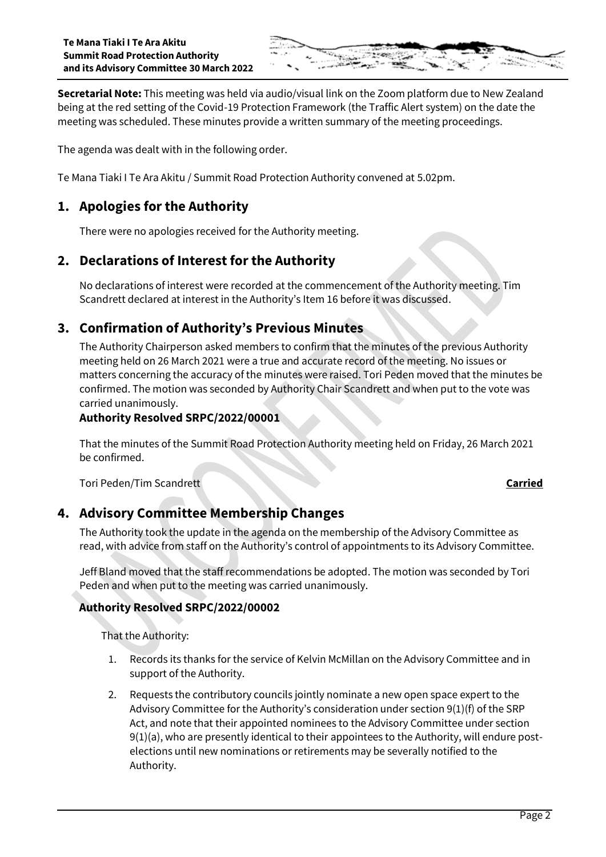

**Secretarial Note:** This meeting was held via audio/visual link on the Zoom platform due to New Zealand being at the red setting of the Covid-19 Protection Framework (the Traffic Alert system) on the date the meeting was scheduled. These minutes provide a written summary of the meeting proceedings.

The agenda was dealt with in the following order.

Te Mana Tiaki I Te Ara Akitu / Summit Road Protection Authority convened at 5.02pm.

# **1. Apologies for the Authority**

There were no apologies received for the Authority meeting.

# **2. Declarations of Interest for the Authority**

No declarations of interest were recorded at the commencement of the Authority meeting. Tim Scandrett declared at interest in the Authority's Item 16 before it was discussed.

# **3. Confirmation of Authority's Previous Minutes**

The Authority Chairperson asked members to confirm that the minutes of the previous Authority meeting held on 26 March 2021 were a true and accurate record of the meeting. No issues or matters concerning the accuracy of the minutes were raised. Tori Peden moved that the minutes be confirmed. The motion was seconded by Authority Chair Scandrett and when put to the vote was carried unanimously.

#### **Authority Resolved SRPC/2022/00001**

That the minutes of the Summit Road Protection Authority meeting held on Friday, 26 March 2021 be confirmed.

Tori Peden/Tim Scandrett **Carried**

### **4. Advisory Committee Membership Changes**

The Authority took the update in the agenda on the membership of the Advisory Committee as read, with advice from staff on the Authority's control of appointments to its Advisory Committee.

Jeff Bland moved that the staff recommendations be adopted. The motion was seconded by Tori Peden and when put to the meeting was carried unanimously.

#### **Authority Resolved SRPC/2022/00002**

That the Authority:

- 1. Records its thanks for the service of Kelvin McMillan on the Advisory Committee and in support of the Authority.
- 2. Requests the contributory councils jointly nominate a new open space expert to the Advisory Committee for the Authority's consideration under section 9(1)(f) of the SRP Act, and note that their appointed nominees to the Advisory Committee under section 9(1)(a), who are presently identical to their appointees to the Authority, will endure postelections until new nominations or retirements may be severally notified to the Authority.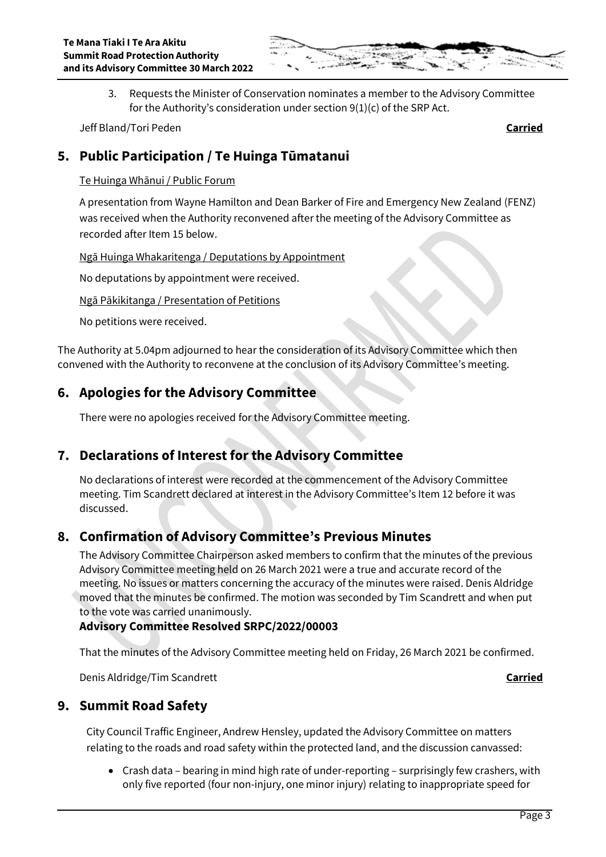

3. Requests the Minister of Conservation nominates a member to the Advisory Committee for the Authority's consideration under section 9(1)(c) of the SRP Act.

Jeff Bland/Tori Peden **Carried**

# **5. Public Participation / Te Huinga Tūmatanui**

#### Te Huinga Whānui / Public Forum

A presentation from Wayne Hamilton and Dean Barker of Fire and Emergency New Zealand (FENZ) was received when the Authority reconvened after the meeting of the Advisory Committee as recorded after Item 15 below.

#### Ngā Huinga Whakaritenga / Deputations by Appointment

No deputations by appointment were received.

#### Ngā Pākikitanga / Presentation of Petitions

No petitions were received.

The Authority at 5.04pm adjourned to hear the consideration of its Advisory Committee which then convened with the Authority to reconvene at the conclusion of its Advisory Committee's meeting.

# **6. Apologies for the Advisory Committee**

There were no apologies received for the Advisory Committee meeting.

# **7. Declarations of Interest for the Advisory Committee**

No declarations of interest were recorded at the commencement of the Advisory Committee meeting. Tim Scandrett declared at interest in the Advisory Committee's Item 12 before it was discussed.

### **8. Confirmation of Advisory Committee's Previous Minutes**

The Advisory Committee Chairperson asked members to confirm that the minutes of the previous Advisory Committee meeting held on 26 March 2021 were a true and accurate record of the meeting. No issues or matters concerning the accuracy of the minutes were raised. Denis Aldridge moved that the minutes be confirmed. The motion was seconded by Tim Scandrett and when put to the vote was carried unanimously.

### **Advisory Committee Resolved SRPC/2022/00003**

That the minutes of the Advisory Committee meeting held on Friday, 26 March 2021 be confirmed.

Denis Aldridge/Tim Scandrett **Carried**

# **9. Summit Road Safety**

City Council Traffic Engineer, Andrew Hensley, updated the Advisory Committee on matters relating to the roads and road safety within the protected land, and the discussion canvassed:

 Crash data – bearing in mind high rate of under-reporting – surprisingly few crashers, with only five reported (four non-injury, one minor injury) relating to inappropriate speed for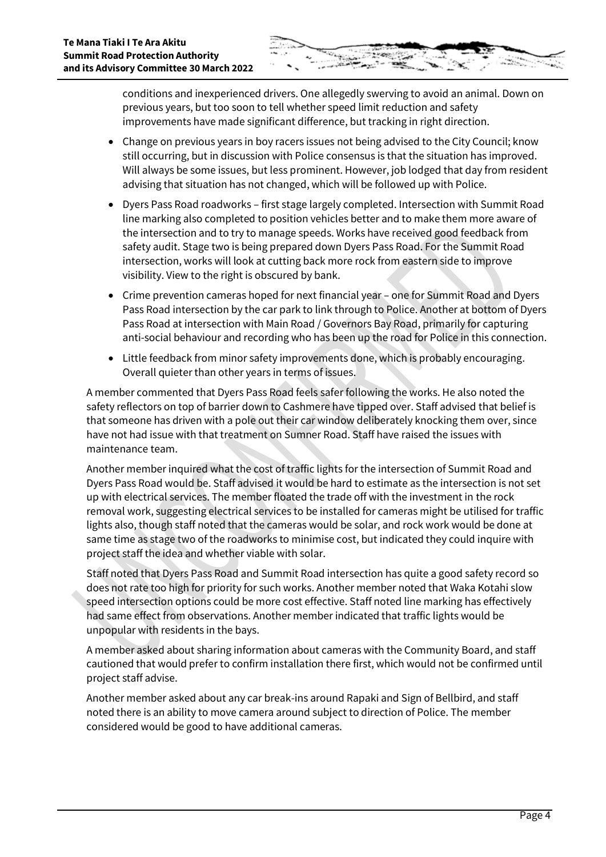conditions and inexperienced drivers. One allegedly swerving to avoid an animal. Down on previous years, but too soon to tell whether speed limit reduction and safety improvements have made significant difference, but tracking in right direction.

- Change on previous years in boy racers issues not being advised to the City Council; know still occurring, but in discussion with Police consensus is that the situation has improved. Will always be some issues, but less prominent. However, job lodged that day from resident advising that situation has not changed, which will be followed up with Police.
- Dyers Pass Road roadworks first stage largely completed. Intersection with Summit Road line marking also completed to position vehicles better and to make them more aware of the intersection and to try to manage speeds. Works have received good feedback from safety audit. Stage two is being prepared down Dyers Pass Road. For the Summit Road intersection, works will look at cutting back more rock from eastern side to improve visibility. View to the right is obscured by bank.
- Crime prevention cameras hoped for next financial year one for Summit Road and Dyers Pass Road intersection by the car park to link through to Police. Another at bottom of Dyers Pass Road at intersection with Main Road / Governors Bay Road, primarily for capturing anti-social behaviour and recording who has been up the road for Police in this connection.
- Little feedback from minor safety improvements done, which is probably encouraging. Overall quieter than other years in terms of issues.

A member commented that Dyers Pass Road feels safer following the works. He also noted the safety reflectors on top of barrier down to Cashmere have tipped over. Staff advised that belief is that someone has driven with a pole out their car window deliberately knocking them over, since have not had issue with that treatment on Sumner Road. Staff have raised the issues with maintenance team.

Another member inquired what the cost of traffic lights for the intersection of Summit Road and Dyers Pass Road would be. Staff advised it would be hard to estimate as the intersection is not set up with electrical services. The member floated the trade off with the investment in the rock removal work, suggesting electrical services to be installed for cameras might be utilised for traffic lights also, though staff noted that the cameras would be solar, and rock work would be done at same time as stage two of the roadworks to minimise cost, but indicated they could inquire with project staff the idea and whether viable with solar.

Staff noted that Dyers Pass Road and Summit Road intersection has quite a good safety record so does not rate too high for priority for such works. Another member noted that Waka Kotahi slow speed intersection options could be more cost effective. Staff noted line marking has effectively had same effect from observations. Another member indicated that traffic lights would be unpopular with residents in the bays.

A member asked about sharing information about cameras with the Community Board, and staff cautioned that would prefer to confirm installation there first, which would not be confirmed until project staff advise.

Another member asked about any car break-ins around Rapaki and Sign of Bellbird, and staff noted there is an ability to move camera around subject to direction of Police. The member considered would be good to have additional cameras.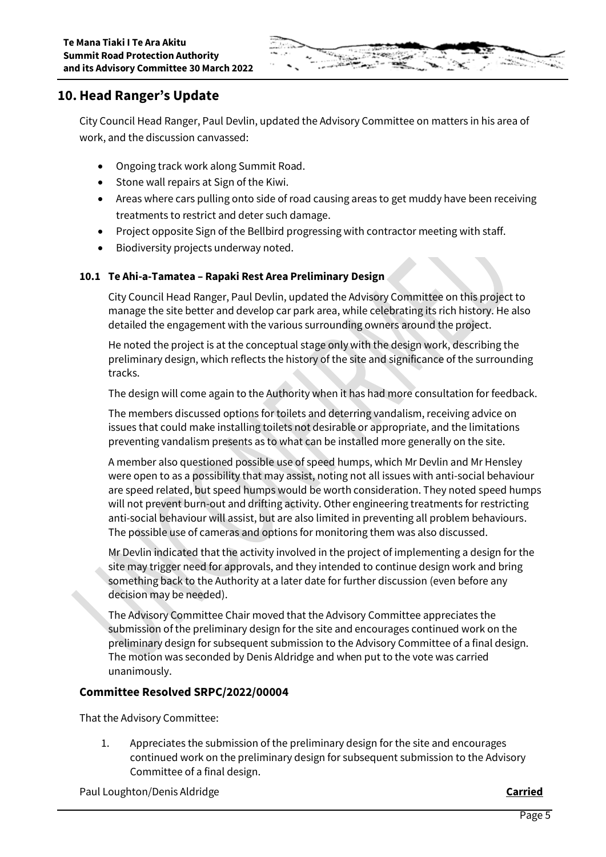

# **10.Head Ranger's Update**

City Council Head Ranger, Paul Devlin, updated the Advisory Committee on matters in his area of work, and the discussion canvassed:

- Ongoing track work along Summit Road.
- Stone wall repairs at Sign of the Kiwi.
- Areas where cars pulling onto side of road causing areas to get muddy have been receiving treatments to restrict and deter such damage.
- Project opposite Sign of the Bellbird progressing with contractor meeting with staff.
- Biodiversity projects underway noted.

#### **10.1 Te Ahi-a-Tamatea – Rapaki Rest Area Preliminary Design**

City Council Head Ranger, Paul Devlin, updated the Advisory Committee on this project to manage the site better and develop car park area, while celebrating its rich history. He also detailed the engagement with the various surrounding owners around the project.

He noted the project is at the conceptual stage only with the design work, describing the preliminary design, which reflects the history of the site and significance of the surrounding tracks.

The design will come again to the Authority when it has had more consultation for feedback.

The members discussed options for toilets and deterring vandalism, receiving advice on issues that could make installing toilets not desirable or appropriate, and the limitations preventing vandalism presents as to what can be installed more generally on the site.

A member also questioned possible use of speed humps, which Mr Devlin and Mr Hensley were open to as a possibility that may assist, noting not all issues with anti-social behaviour are speed related, but speed humps would be worth consideration. They noted speed humps will not prevent burn-out and drifting activity. Other engineering treatments for restricting anti-social behaviour will assist, but are also limited in preventing all problem behaviours. The possible use of cameras and options for monitoring them was also discussed.

Mr Devlin indicated that the activity involved in the project of implementing a design for the site may trigger need for approvals, and they intended to continue design work and bring something back to the Authority at a later date for further discussion (even before any decision may be needed).

The Advisory Committee Chair moved that the Advisory Committee appreciates the submission of the preliminary design for the site and encourages continued work on the preliminary design for subsequent submission to the Advisory Committee of a final design. The motion was seconded by Denis Aldridge and when put to the vote was carried unanimously.

### **Committee Resolved SRPC/2022/00004**

That the Advisory Committee:

1. Appreciates the submission of the preliminary design for the site and encourages continued work on the preliminary design for subsequent submission to the Advisory Committee of a final design.

Paul Loughton/Denis Aldridge **Carried**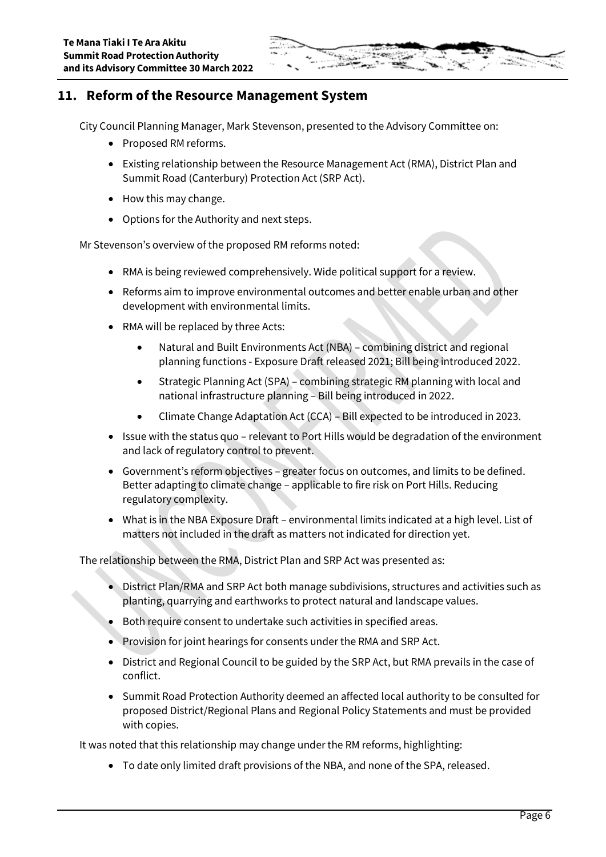# **11. Reform of the Resource Management System**

City Council Planning Manager, Mark Stevenson, presented to the Advisory Committee on:

- Proposed RM reforms.
- Existing relationship between the Resource Management Act (RMA), District Plan and Summit Road (Canterbury) Protection Act (SRP Act).
- How this may change.
- Options for the Authority and next steps.

Mr Stevenson's overview of the proposed RM reforms noted:

- RMA is being reviewed comprehensively. Wide political support for a review.
- Reforms aim to improve environmental outcomes and better enable urban and other development with environmental limits.
- RMA will be replaced by three Acts:
	- Natural and Built Environments Act (NBA) combining district and regional planning functions - Exposure Draft released 2021; Bill being introduced 2022.
	- Strategic Planning Act (SPA) combining strategic RM planning with local and national infrastructure planning – Bill being introduced in 2022.
	- Climate Change Adaptation Act (CCA) Bill expected to be introduced in 2023.
- Issue with the status quo relevant to Port Hills would be degradation of the environment and lack of regulatory control to prevent.
- Government's reform objectives greater focus on outcomes, and limits to be defined. Better adapting to climate change – applicable to fire risk on Port Hills. Reducing regulatory complexity.
- What is in the NBA Exposure Draft environmental limits indicated at a high level. List of matters not included in the draft as matters not indicated for direction yet.

The relationship between the RMA, District Plan and SRP Act was presented as:

- District Plan/RMA and SRP Act both manage subdivisions, structures and activities such as planting, quarrying and earthworks to protect natural and landscape values.
- Both require consent to undertake such activities in specified areas.
- Provision for joint hearings for consents under the RMA and SRP Act.
- District and Regional Council to be guided by the SRP Act, but RMA prevails in the case of conflict.
- Summit Road Protection Authority deemed an affected local authority to be consulted for proposed District/Regional Plans and Regional Policy Statements and must be provided with copies.

It was noted that this relationship may change under the RM reforms, highlighting:

To date only limited draft provisions of the NBA, and none of the SPA, released.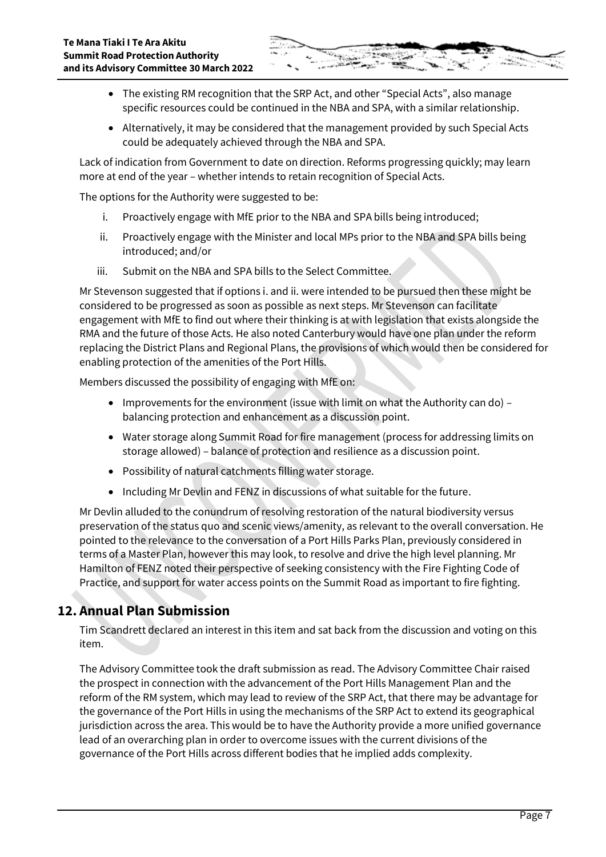- 
- The existing RM recognition that the SRP Act, and other "Special Acts", also manage specific resources could be continued in the NBA and SPA, with a similar relationship.
- Alternatively, it may be considered that the management provided by such Special Acts could be adequately achieved through the NBA and SPA.

Lack of indication from Government to date on direction. Reforms progressing quickly; may learn more at end of the year – whether intends to retain recognition of Special Acts.

The options for the Authority were suggested to be:

- i. Proactively engage with MfE prior to the NBA and SPA bills being introduced;
- ii. Proactively engage with the Minister and local MPs prior to the NBA and SPA bills being introduced; and/or
- iii. Submit on the NBA and SPA bills to the Select Committee.

Mr Stevenson suggested that if options i. and ii. were intended to be pursued then these might be considered to be progressed as soon as possible as next steps. Mr Stevenson can facilitate engagement with MfE to find out where their thinking is at with legislation that exists alongside the RMA and the future of those Acts. He also noted Canterbury would have one plan under the reform replacing the District Plans and Regional Plans, the provisions of which would then be considered for enabling protection of the amenities of the Port Hills.

Members discussed the possibility of engaging with MfE on:

- Improvements for the environment (issue with limit on what the Authority can do) balancing protection and enhancement as a discussion point.
- Water storage along Summit Road for fire management (process for addressing limits on storage allowed) – balance of protection and resilience as a discussion point.
- Possibility of natural catchments filling water storage.
- Including Mr Devlin and FENZ in discussions of what suitable for the future.

Mr Devlin alluded to the conundrum of resolving restoration of the natural biodiversity versus preservation of the status quo and scenic views/amenity, as relevant to the overall conversation. He pointed to the relevance to the conversation of a Port Hills Parks Plan, previously considered in terms of a Master Plan, however this may look, to resolve and drive the high level planning. Mr Hamilton of FENZ noted their perspective of seeking consistency with the Fire Fighting Code of Practice, and support for water access points on the Summit Road as important to fire fighting.

# **12. Annual Plan Submission**

Tim Scandrett declared an interest in this item and sat back from the discussion and voting on this item.

The Advisory Committee took the draft submission as read. The Advisory Committee Chair raised the prospect in connection with the advancement of the Port Hills Management Plan and the reform of the RM system, which may lead to review of the SRP Act, that there may be advantage for the governance of the Port Hills in using the mechanisms of the SRP Act to extend its geographical jurisdiction across the area. This would be to have the Authority provide a more unified governance lead of an overarching plan in order to overcome issues with the current divisions of the governance of the Port Hills across different bodies that he implied adds complexity.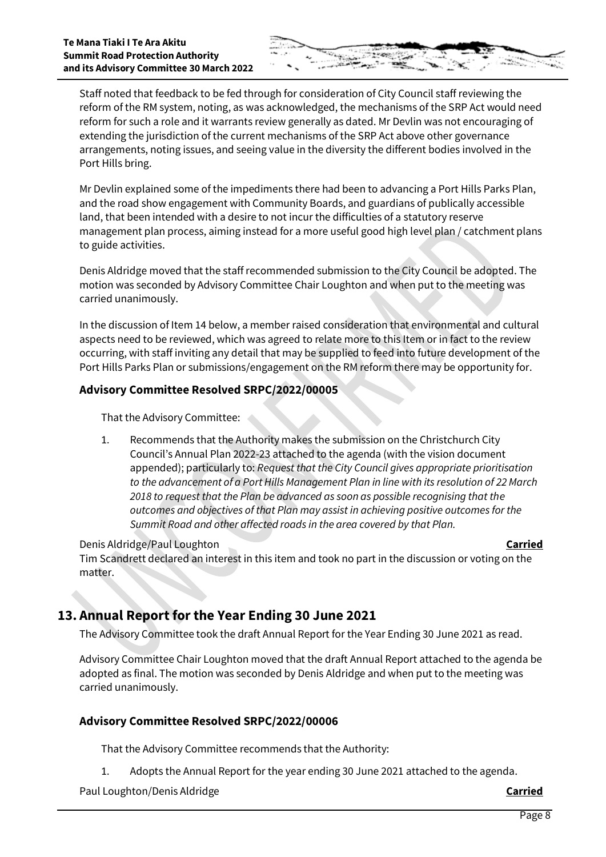Staff noted that feedback to be fed through for consideration of City Council staff reviewing the reform of the RM system, noting, as was acknowledged, the mechanisms of the SRP Act would need reform for such a role and it warrants review generally as dated. Mr Devlin was not encouraging of extending the jurisdiction of the current mechanisms of the SRP Act above other governance arrangements, noting issues, and seeing value in the diversity the different bodies involved in the Port Hills bring.

Mr Devlin explained some of the impediments there had been to advancing a Port Hills Parks Plan, and the road show engagement with Community Boards, and guardians of publically accessible land, that been intended with a desire to not incur the difficulties of a statutory reserve management plan process, aiming instead for a more useful good high level plan / catchment plans to guide activities.

Denis Aldridge moved that the staff recommended submission to the City Council be adopted. The motion was seconded by Advisory Committee Chair Loughton and when put to the meeting was carried unanimously.

In the discussion of Item 14 below, a member raised consideration that environmental and cultural aspects need to be reviewed, which was agreed to relate more to this Item or in fact to the review occurring, with staff inviting any detail that may be supplied to feed into future development of the Port Hills Parks Plan or submissions/engagement on the RM reform there may be opportunity for.

### **Advisory Committee Resolved SRPC/2022/00005**

That the Advisory Committee:

1. Recommends that the Authority makes the submission on the Christchurch City Council's Annual Plan 2022-23 attached to the agenda (with the vision document appended); particularly to: *Request that the City Council gives appropriate prioritisation to the advancement of a Port Hills Management Plan in line with its resolution of 22 March 2018 to request that the Plan be advanced as soon as possible recognising that the outcomes and objectives of that Plan may assist in achieving positive outcomes for the Summit Road and other affected roads in the area covered by that Plan.*

Denis Aldridge/Paul Loughton **Carried**

Tim Scandrett declared an interest in this item and took no part in the discussion or voting on the matter.

# **13. Annual Report for the Year Ending 30 June 2021**

The Advisory Committee took the draft Annual Report for the Year Ending 30 June 2021 as read.

Advisory Committee Chair Loughton moved that the draft Annual Report attached to the agenda be adopted as final. The motion was seconded by Denis Aldridge and when put to the meeting was carried unanimously.

### **Advisory Committee Resolved SRPC/2022/00006**

That the Advisory Committee recommends that the Authority:

1. Adopts the Annual Report for the year ending 30 June 2021 attached to the agenda.

Paul Loughton/Denis Aldridge **Carried**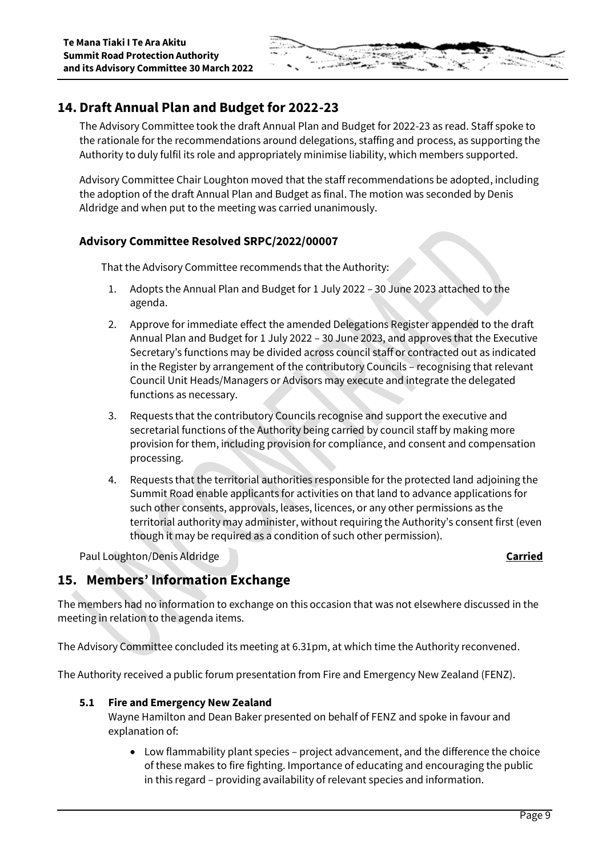

# **14. Draft Annual Plan and Budget for 2022-23**

The Advisory Committee took the draft Annual Plan and Budget for 2022-23 as read. Staff spoke to the rationale for the recommendations around delegations, staffing and process, as supporting the Authority to duly fulfil its role and appropriately minimise liability, which members supported.

Advisory Committee Chair Loughton moved that the staff recommendations be adopted, including the adoption of the draft Annual Plan and Budget as final. The motion was seconded by Denis Aldridge and when put to the meeting was carried unanimously.

### **Advisory Committee Resolved SRPC/2022/00007**

That the Advisory Committee recommends that the Authority:

- 1. Adopts the Annual Plan and Budget for 1 July 2022 30 June 2023 attached to the agenda.
- 2. Approve for immediate effect the amended Delegations Register appended to the draft Annual Plan and Budget for 1 July 2022 – 30 June 2023, and approves that the Executive Secretary's functions may be divided across council staff or contracted out as indicated in the Register by arrangement of the contributory Councils – recognising that relevant Council Unit Heads/Managers or Advisors may execute and integrate the delegated functions as necessary.
- 3. Requests that the contributory Councils recognise and support the executive and secretarial functions of the Authority being carried by council staff by making more provision for them, including provision for compliance, and consent and compensation processing.
- 4. Requests that the territorial authorities responsible for the protected land adjoining the Summit Road enable applicants for activities on that land to advance applications for such other consents, approvals, leases, licences, or any other permissions as the territorial authority may administer, without requiring the Authority's consent first (even though it may be required as a condition of such other permission).

Paul Loughton/Denis Aldridge **Carried**

# **15. Members' Information Exchange**

The members had no information to exchange on this occasion that was not elsewhere discussed in the meeting in relation to the agenda items.

The Advisory Committee concluded its meeting at 6.31pm, at which time the Authority reconvened.

The Authority received a public forum presentation from Fire and Emergency New Zealand (FENZ).

#### **5.1 Fire and Emergency New Zealand**

Wayne Hamilton and Dean Baker presented on behalf of FENZ and spoke in favour and explanation of:

 Low flammability plant species – project advancement, and the difference the choice of these makes to fire fighting. Importance of educating and encouraging the public in this regard – providing availability of relevant species and information.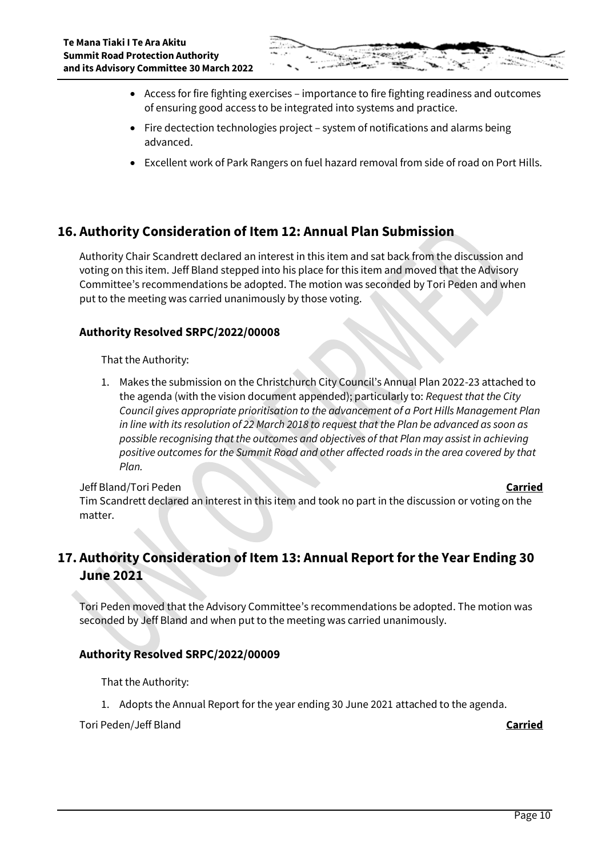- Access for fire fighting exercises importance to fire fighting readiness and outcomes of ensuring good access to be integrated into systems and practice.
- Fire dectection technologies project system of notifications and alarms being advanced.
- Excellent work of Park Rangers on fuel hazard removal from side of road on Port Hills.

# **16. Authority Consideration of Item 12: Annual Plan Submission**

Authority Chair Scandrett declared an interest in this item and sat back from the discussion and voting on this item. Jeff Bland stepped into his place for this item and moved that the Advisory Committee's recommendations be adopted. The motion was seconded by Tori Peden and when put to the meeting was carried unanimously by those voting.

### **Authority Resolved SRPC/2022/00008**

That the Authority:

1. Makes the submission on the Christchurch City Council's Annual Plan 2022-23 attached to the agenda (with the vision document appended); particularly to: *Request that the City Council gives appropriate prioritisation to the advancement of a Port Hills Management Plan in line with its resolution of 22 March 2018 to request that the Plan be advanced as soon as possible recognising that the outcomes and objectives of that Plan may assist in achieving positive outcomes for the Summit Road and other affected roads in the area covered by that Plan.*

Jeff Bland/Tori Peden **Carried** Tim Scandrett declared an interest in this item and took no part in the discussion or voting on the matter.

# **17. Authority Consideration of Item 13: Annual Report for the Year Ending 30 June 2021**

Tori Peden moved that the Advisory Committee's recommendations be adopted. The motion was seconded by Jeff Bland and when put to the meeting was carried unanimously.

### **Authority Resolved SRPC/2022/00009**

That the Authority:

1. Adopts the Annual Report for the year ending 30 June 2021 attached to the agenda.

Tori Peden/Jeff Bland **Carried**